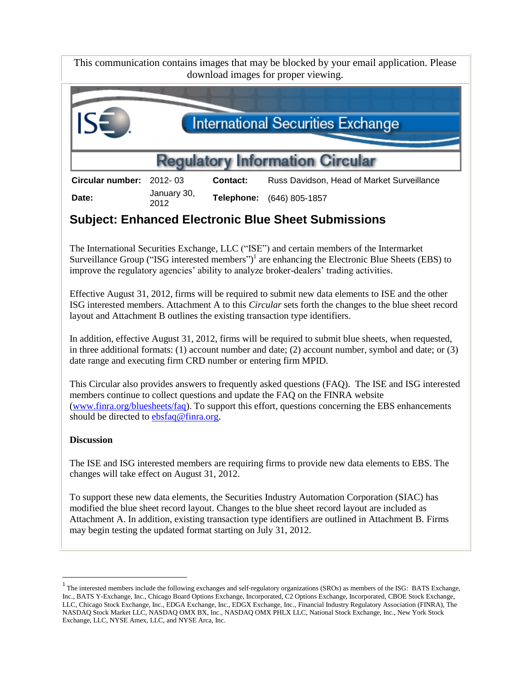This communication contains images that may be blocked by your email application. Please download images for proper viewing.



**Date:** January 30, 2012

**Telephone:** (646) 805-1857

# **Subject: Enhanced Electronic Blue Sheet Submissions**

The International Securities Exchange, LLC ("ISE") and certain members of the Intermarket Surveillance Group ("ISG interested members")<sup>1</sup> are enhancing the Electronic Blue Sheets (EBS) to improve the regulatory agencies' ability to analyze broker-dealers' trading activities.

Effective August 31, 2012, firms will be required to submit new data elements to ISE and the other ISG interested members. Attachment A to this *Circular* sets forth the changes to the blue sheet record layout and Attachment B outlines the existing transaction type identifiers.

In addition, effective August 31, 2012, firms will be required to submit blue sheets, when requested, in three additional formats: (1) account number and date; (2) account number, symbol and date; or (3) date range and executing firm CRD number or entering firm MPID.

This Circular also provides answers to frequently asked questions (FAQ). The ISE and ISG interested members continue to collect questions and update the FAQ on the FINRA website [\(www.finra.org/bluesheets/faq\)](http://www.finra.org/bluesheets/faq). To support this effort, questions concerning the EBS enhancements should be directed to [ebsfaq@finra.org.](mailto:ebsfaq@finra.org)

# **Discussion**

 $\overline{\phantom{a}}$ 

The ISE and ISG interested members are requiring firms to provide new data elements to EBS. The changes will take effect on August 31, 2012.

To support these new data elements, the Securities Industry Automation Corporation (SIAC) has modified the blue sheet record layout. Changes to the blue sheet record layout are included as Attachment A. In addition, existing transaction type identifiers are outlined in Attachment B. Firms may begin testing the updated format starting on July 31, 2012.

<sup>&</sup>lt;sup>1</sup> The interested members include the following exchanges and self-regulatory organizations (SROs) as members of the ISG: BATS Exchange, Inc., BATS Y-Exchange, Inc., Chicago Board Options Exchange, Incorporated, C2 Options Exchange, Incorporated, CBOE Stock Exchange, LLC, Chicago Stock Exchange, Inc., EDGA Exchange, Inc., EDGX Exchange, Inc., Financial Industry Regulatory Association (FINRA), The NASDAQ Stock Market LLC, NASDAQ OMX BX, Inc., NASDAQ OMX PHLX LLC, National Stock Exchange, Inc., New York Stock Exchange, LLC, NYSE Amex, LLC, and NYSE Arca, Inc.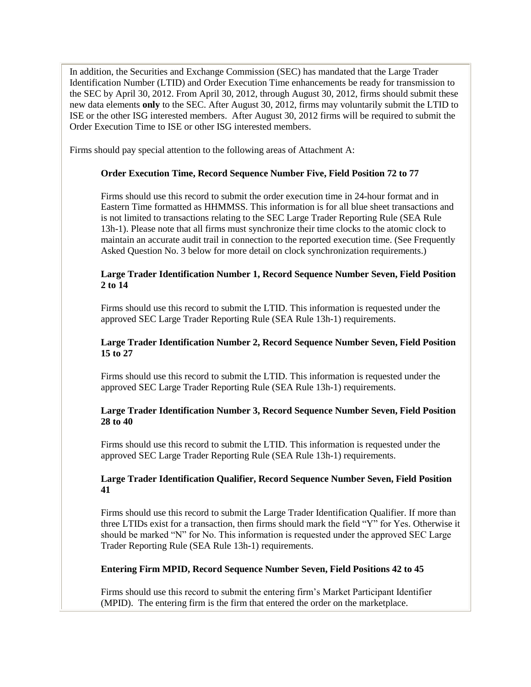In addition, the Securities and Exchange Commission (SEC) has mandated that the Large Trader Identification Number (LTID) and Order Execution Time enhancements be ready for transmission to the SEC by April 30, 2012. From April 30, 2012, through August 30, 2012, firms should submit these new data elements **only** to the SEC. After August 30, 2012, firms may voluntarily submit the LTID to ISE or the other ISG interested members. After August 30, 2012 firms will be required to submit the Order Execution Time to ISE or other ISG interested members.

Firms should pay special attention to the following areas of Attachment A:

#### **Order Execution Time, Record Sequence Number Five, Field Position 72 to 77**

Firms should use this record to submit the order execution time in 24-hour format and in Eastern Time formatted as HHMMSS. This information is for all blue sheet transactions and is not limited to transactions relating to the SEC Large Trader Reporting Rule (SEA Rule 13h-1). Please note that all firms must synchronize their time clocks to the atomic clock to maintain an accurate audit trail in connection to the reported execution time. (See Frequently Asked Question No. 3 below for more detail on clock synchronization requirements.)

# **Large Trader Identification Number 1, Record Sequence Number Seven, Field Position 2 to 14**

Firms should use this record to submit the LTID. This information is requested under the approved SEC Large Trader Reporting Rule (SEA Rule 13h-1) requirements.

# **Large Trader Identification Number 2, Record Sequence Number Seven, Field Position 15 to 27**

Firms should use this record to submit the LTID. This information is requested under the approved SEC Large Trader Reporting Rule (SEA Rule 13h-1) requirements.

# **Large Trader Identification Number 3, Record Sequence Number Seven, Field Position 28 to 40**

Firms should use this record to submit the LTID. This information is requested under the approved SEC Large Trader Reporting Rule (SEA Rule 13h-1) requirements.

# **Large Trader Identification Qualifier, Record Sequence Number Seven, Field Position 41**

Firms should use this record to submit the Large Trader Identification Qualifier. If more than three LTIDs exist for a transaction, then firms should mark the field "Y" for Yes. Otherwise it should be marked "N" for No. This information is requested under the approved SEC Large Trader Reporting Rule (SEA Rule 13h-1) requirements.

#### **Entering Firm MPID, Record Sequence Number Seven, Field Positions 42 to 45**

Firms should use this record to submit the entering firm's Market Participant Identifier (MPID). The entering firm is the firm that entered the order on the marketplace.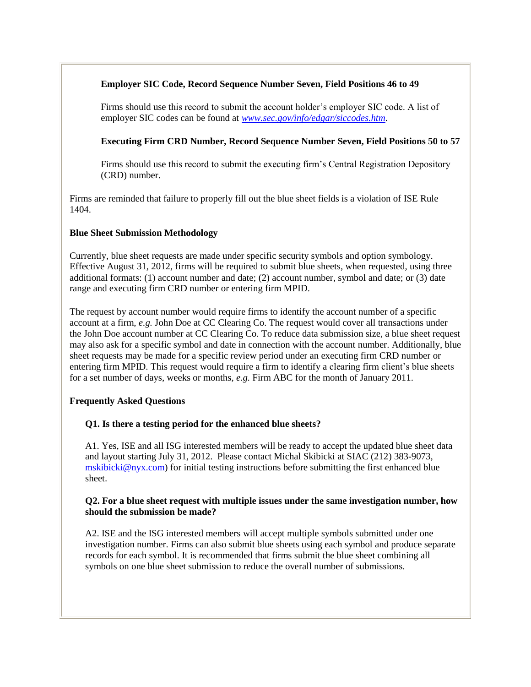# **Employer SIC Code, Record Sequence Number Seven, Field Positions 46 to 49**

Firms should use this record to submit the account holder's employer SIC code. A list of employer SIC codes can be found at *[www.sec.gov/info/edgar/siccodes.htm](http://www.sec.gov/info/edgar/siccodes.htm)*.

# **Executing Firm CRD Number, Record Sequence Number Seven, Field Positions 50 to 57**

Firms should use this record to submit the executing firm's Central Registration Depository (CRD) number.

Firms are reminded that failure to properly fill out the blue sheet fields is a violation of ISE Rule 1404.

#### **Blue Sheet Submission Methodology**

Currently, blue sheet requests are made under specific security symbols and option symbology. Effective August 31, 2012, firms will be required to submit blue sheets, when requested, using three additional formats: (1) account number and date; (2) account number, symbol and date; or (3) date range and executing firm CRD number or entering firm MPID.

The request by account number would require firms to identify the account number of a specific account at a firm, *e.g.* John Doe at CC Clearing Co. The request would cover all transactions under the John Doe account number at CC Clearing Co. To reduce data submission size, a blue sheet request may also ask for a specific symbol and date in connection with the account number. Additionally, blue sheet requests may be made for a specific review period under an executing firm CRD number or entering firm MPID. This request would require a firm to identify a clearing firm client's blue sheets for a set number of days, weeks or months, *e.g.* Firm ABC for the month of January 2011.

#### **Frequently Asked Questions**

#### **Q1. Is there a testing period for the enhanced blue sheets?**

A1. Yes, ISE and all ISG interested members will be ready to accept the updated blue sheet data and layout starting July 31, 2012. Please contact Michal Skibicki at SIAC (212) 383-9073, [mskibicki@nyx.com\)](mailto:mskibicki@nyx.com) for initial testing instructions before submitting the first enhanced blue sheet.

#### **Q2. For a blue sheet request with multiple issues under the same investigation number, how should the submission be made?**

A2. ISE and the ISG interested members will accept multiple symbols submitted under one investigation number. Firms can also submit blue sheets using each symbol and produce separate records for each symbol. It is recommended that firms submit the blue sheet combining all symbols on one blue sheet submission to reduce the overall number of submissions.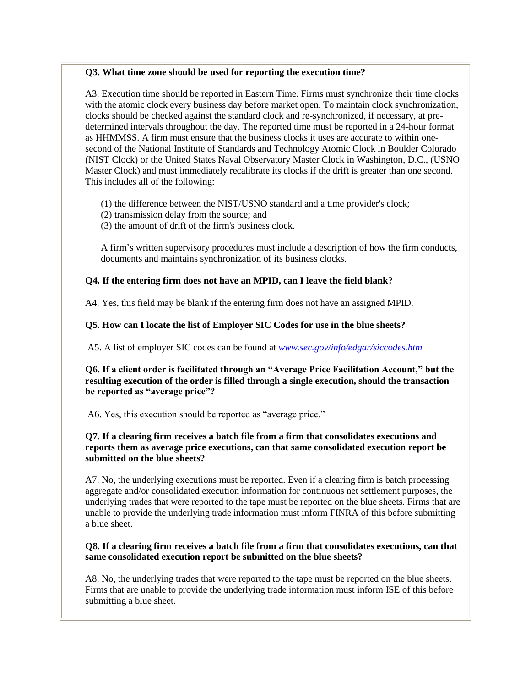#### **Q3. What time zone should be used for reporting the execution time?**

A3. Execution time should be reported in Eastern Time. Firms must synchronize their time clocks with the atomic clock every business day before market open. To maintain clock synchronization, clocks should be checked against the standard clock and re-synchronized, if necessary, at predetermined intervals throughout the day. The reported time must be reported in a 24-hour format as HHMMSS. A firm must ensure that the business clocks it uses are accurate to within onesecond of the National Institute of Standards and Technology Atomic Clock in Boulder Colorado (NIST Clock) or the United States Naval Observatory Master Clock in Washington, D.C., (USNO Master Clock) and must immediately recalibrate its clocks if the drift is greater than one second. This includes all of the following:

(1) the difference between the NIST/USNO standard and a time provider's clock;

- (2) transmission delay from the source; and
- (3) the amount of drift of the firm's business clock.

A firm's written supervisory procedures must include a description of how the firm conducts, documents and maintains synchronization of its business clocks.

#### **Q4. If the entering firm does not have an MPID, can I leave the field blank?**

A4. Yes, this field may be blank if the entering firm does not have an assigned MPID.

#### **Q5. How can I locate the list of Employer SIC Codes for use in the blue sheets?**

A5. A list of employer SIC codes can be found at *[www.sec.gov/info/edgar/siccodes.htm](http://www.sec.gov/info/edgar/siccodes.htm)*

**Q6. If a client order is facilitated through an "Average Price Facilitation Account," but the resulting execution of the order is filled through a single execution, should the transaction be reported as "average price"?** 

A6. Yes, this execution should be reported as "average price."

### **Q7. If a clearing firm receives a batch file from a firm that consolidates executions and reports them as average price executions, can that same consolidated execution report be submitted on the blue sheets?**

A7. No, the underlying executions must be reported. Even if a clearing firm is batch processing aggregate and/or consolidated execution information for continuous net settlement purposes, the underlying trades that were reported to the tape must be reported on the blue sheets. Firms that are unable to provide the underlying trade information must inform FINRA of this before submitting a blue sheet.

#### **Q8. If a clearing firm receives a batch file from a firm that consolidates executions, can that same consolidated execution report be submitted on the blue sheets?**

A8. No, the underlying trades that were reported to the tape must be reported on the blue sheets. Firms that are unable to provide the underlying trade information must inform ISE of this before submitting a blue sheet.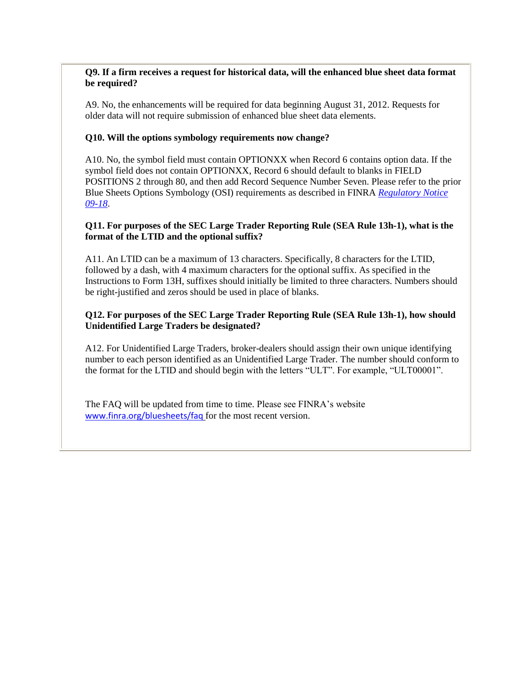# **Q9. If a firm receives a request for historical data, will the enhanced blue sheet data format be required?**

A9. No, the enhancements will be required for data beginning August 31, 2012. Requests for older data will not require submission of enhanced blue sheet data elements.

# **Q10. Will the options symbology requirements now change?**

A10. No, the symbol field must contain OPTIONXX when Record 6 contains option data. If the symbol field does not contain OPTIONXX, Record 6 should default to blanks in FIELD POSITIONS 2 through 80, and then add Record Sequence Number Seven. Please refer to the prior Blue Sheets Options Symbology (OSI) requirements as described in FINRA *[Regulatory Notice](http://www.finra.org/Industry/Regulation/Notices/2009/P118328)  [09-18](http://www.finra.org/Industry/Regulation/Notices/2009/P118328)*.

# **Q11. For purposes of the SEC Large Trader Reporting Rule (SEA Rule 13h-1), what is the format of the LTID and the optional suffix?**

A11. An LTID can be a maximum of 13 characters. Specifically, 8 characters for the LTID, followed by a dash, with 4 maximum characters for the optional suffix. As specified in the Instructions to Form 13H, suffixes should initially be limited to three characters. Numbers should be right-justified and zeros should be used in place of blanks.

# **Q12. For purposes of the SEC Large Trader Reporting Rule (SEA Rule 13h-1), how should Unidentified Large Traders be designated?**

A12. For Unidentified Large Traders, broker-dealers should assign their own unique identifying number to each person identified as an Unidentified Large Trader. The number should conform to the format for the LTID and should begin with the letters "ULT". For example, "ULT00001".

The FAQ will be updated from time to time. Please see FINRA's website [www.finra.org/bluesheets/faq](http://www.finra.org/bluesheets/faq) for the most recent version.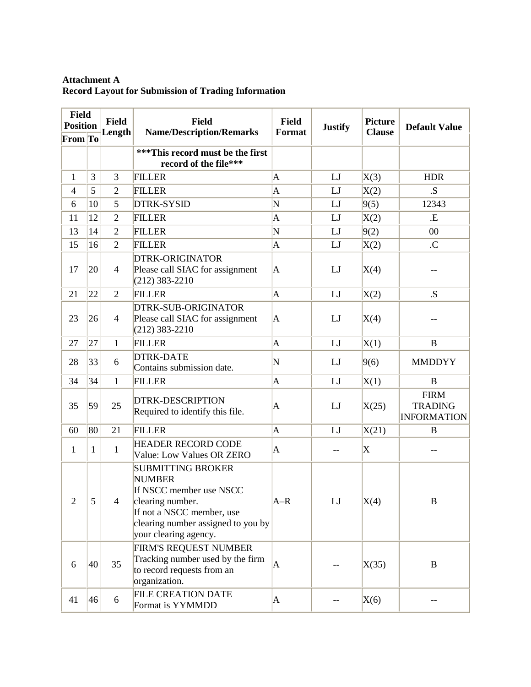# **Attachment A Record Layout for Submission of Trading Information**

| <b>Field</b><br><b>Position</b> |              | <b>Field</b><br>Length | <b>Field</b><br><b>Name/Description/Remarks</b>                                                                                                                                      | <b>Field</b><br>Format  | <b>Justify</b> | <b>Picture</b><br><b>Clause</b> | <b>Default Value</b>                                |
|---------------------------------|--------------|------------------------|--------------------------------------------------------------------------------------------------------------------------------------------------------------------------------------|-------------------------|----------------|---------------------------------|-----------------------------------------------------|
| From To                         |              |                        |                                                                                                                                                                                      |                         |                |                                 |                                                     |
|                                 |              |                        | ***This record must be the first<br>record of the file***                                                                                                                            |                         |                |                                 |                                                     |
| 1                               | 3            | 3                      | <b>FILLER</b>                                                                                                                                                                        | A                       | LJ             | X(3)                            | <b>HDR</b>                                          |
| $\overline{4}$                  | 5            | $\overline{2}$         | <b>FILLER</b>                                                                                                                                                                        | $\overline{\mathbf{A}}$ | LJ             | X(2)                            | .S                                                  |
| 6                               | 10           | 5                      | <b>DTRK-SYSID</b>                                                                                                                                                                    | N                       | LJ             | 9(5)                            | 12343                                               |
| 11                              | 12           | $\overline{2}$         | <b>FILLER</b>                                                                                                                                                                        | A                       | LJ             | X(2)                            | .E                                                  |
| 13                              | 14           | $\overline{2}$         | <b>FILLER</b>                                                                                                                                                                        | N                       | LJ             | 9(2)                            | 00                                                  |
| 15                              | 16           | $\overline{2}$         | <b>FILLER</b>                                                                                                                                                                        | $\overline{A}$          | LJ             | X(2)                            | .C                                                  |
| 17                              | 20           | $\overline{4}$         | <b>DTRK-ORIGINATOR</b><br>Please call SIAC for assignment<br>$(212)$ 383-2210                                                                                                        | $\mathbf{A}$            | LJ             | X(4)                            |                                                     |
| 21                              | 22           | $\overline{2}$         | <b>FILLER</b>                                                                                                                                                                        | $\mathbf{A}$            | LJ             | X(2)                            | .S.                                                 |
| 23                              | 26           | $\overline{4}$         | <b>DTRK-SUB-ORIGINATOR</b><br>Please call SIAC for assignment<br>$(212)$ 383-2210                                                                                                    | A                       | LJ             | X(4)                            |                                                     |
| 27                              | 27           | $\mathbf{1}$           | <b>FILLER</b>                                                                                                                                                                        | $\overline{A}$          | LJ             | X(1)                            | $\bf{B}$                                            |
| 28                              | 33           | 6                      | <b>DTRK-DATE</b><br>Contains submission date.                                                                                                                                        | N                       | LJ             | 9(6)                            | <b>MMDDYY</b>                                       |
| 34                              | 34           | $\mathbf{1}$           | <b>FILLER</b>                                                                                                                                                                        | $\overline{A}$          | LJ             | X(1)                            | $\bf{B}$                                            |
| 35                              | 59           | 25                     | <b>DTRK-DESCRIPTION</b><br>Required to identify this file.                                                                                                                           | $\mathbf{A}$            | LJ             | X(25)                           | <b>FIRM</b><br><b>TRADING</b><br><b>INFORMATION</b> |
| 60                              | 80           | 21                     | <b>FILLER</b>                                                                                                                                                                        | $\mathbf{A}$            | LJ             | X(21)                           | B                                                   |
| 1                               | $\mathbf{1}$ | $\mathbf{1}$           | <b>HEADER RECORD CODE</b><br><b>Value: Low Values OR ZERO</b>                                                                                                                        | $\overline{A}$          | --             | X                               |                                                     |
| $\overline{2}$                  | 5            | $\overline{4}$         | <b>SUBMITTING BROKER</b><br><b>NUMBER</b><br>If NSCC member use NSCC<br>clearing number.<br>If not a NSCC member, use<br>clearing number assigned to you by<br>your clearing agency. | $A-R$                   | LJ             | X(4)                            | B                                                   |
| 6                               | 40           | 35                     | FIRM'S REQUEST NUMBER<br>Tracking number used by the firm<br>to record requests from an<br>organization.                                                                             | $\mathbf{A}$            |                | X(35)                           | B                                                   |
| 41                              | 46           | 6                      | <b>FILE CREATION DATE</b><br>Format is YYMMDD                                                                                                                                        | A                       |                | X(6)                            |                                                     |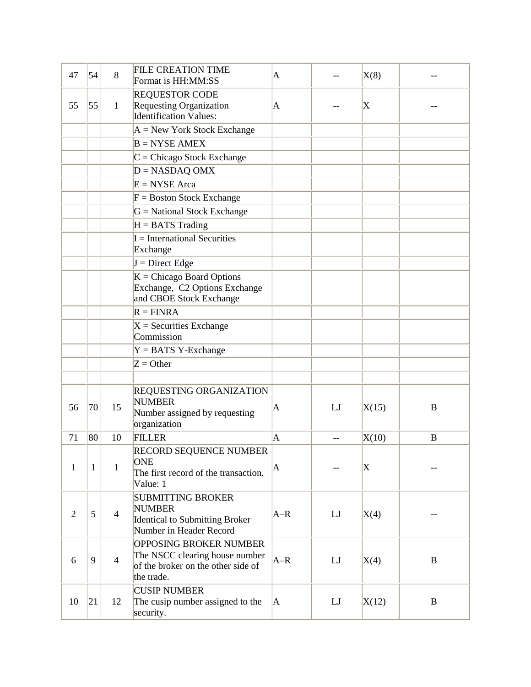| 47             | 54           | 8              | <b>FILE CREATION TIME</b><br>Format is HH:MM:SS                                                                     | A                       |    | X(8)        |          |
|----------------|--------------|----------------|---------------------------------------------------------------------------------------------------------------------|-------------------------|----|-------------|----------|
| 55             | 55           | $\mathbf{1}$   | <b>REQUESTOR CODE</b><br><b>Requesting Organization</b><br>Identification Values:                                   | A                       |    | X           |          |
|                |              |                | $A = New York Stock Exchange$                                                                                       |                         |    |             |          |
|                |              |                | $B = NYSE AMEX$                                                                                                     |                         |    |             |          |
|                |              |                | $C =$ Chicago Stock Exchange                                                                                        |                         |    |             |          |
|                |              |                | $D = NASDAO$ OMX                                                                                                    |                         |    |             |          |
|                |              |                | $E = NYSE Area$                                                                                                     |                         |    |             |          |
|                |              |                | $F = Boston Stock Exchange$                                                                                         |                         |    |             |          |
|                |              |                | $G = National Stock Exchange$                                                                                       |                         |    |             |          |
|                |              |                | $H = BATS$ Trading                                                                                                  |                         |    |             |          |
|                |              |                | $I = International Securities$<br>Exchange                                                                          |                         |    |             |          |
|                |              |                | $J =$ Direct Edge                                                                                                   |                         |    |             |          |
|                |              |                | $K =$ Chicago Board Options<br>Exchange, C2 Options Exchange<br>and CBOE Stock Exchange                             |                         |    |             |          |
|                |              |                | $R = FINRA$                                                                                                         |                         |    |             |          |
|                |              |                | $X =$ Securities Exchange<br>Commission                                                                             |                         |    |             |          |
|                |              |                | $Y = BATS$ Y-Exchange                                                                                               |                         |    |             |          |
|                |              |                | $Z =$ Other                                                                                                         |                         |    |             |          |
|                |              |                |                                                                                                                     |                         |    |             |          |
| 56             | 70           | 15             | <b>REQUESTING ORGANIZATION</b><br><b>NUMBER</b><br>Number assigned by requesting<br>organization                    | $\mathsf{A}$            | LJ | X(15)       | B        |
| 71             | 80           | 10             | <b>FILLER</b>                                                                                                       | $\overline{\mathbf{A}}$ |    | X(10)       | B        |
| 1              | $\mathbf{1}$ | $\mathbf{1}$   | RECORD SEQUENCE NUMBER<br><b>ONE</b><br>The first record of the transaction.<br>Value: 1                            | A                       |    | $ {\rm X} $ |          |
| $\overline{2}$ | 5            | $\overline{4}$ | <b>SUBMITTING BROKER</b><br><b>NUMBER</b><br>Identical to Submitting Broker<br>Number in Header Record              | $A-R$                   | LJ | X(4)        |          |
| 6              | 9            | $\overline{4}$ | <b>OPPOSING BROKER NUMBER</b><br>The NSCC clearing house number<br>of the broker on the other side of<br>the trade. | $A-R$                   | LJ | X(4)        | B        |
| 10             | 21           | 12             | <b>CUSIP NUMBER</b><br>The cusip number assigned to the<br>security.                                                | IA.                     | LJ | X(12)       | $\bf{B}$ |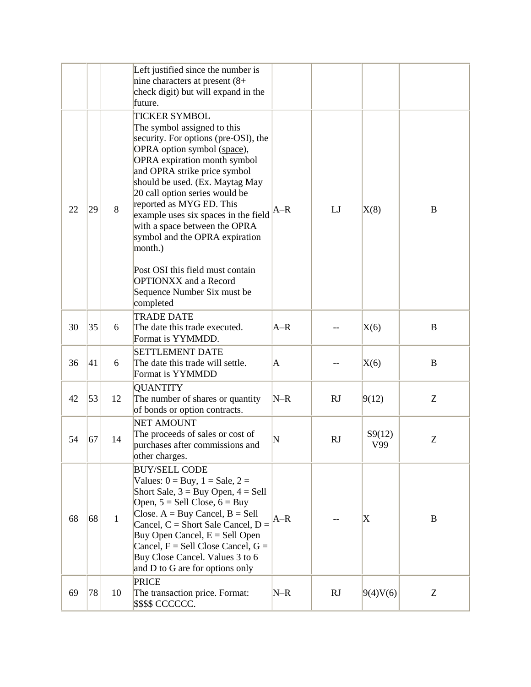|    |    |              | Left justified since the number is<br>nine characters at present $(8+)$<br>check digit) but will expand in the<br>future.                                                                                                                                                                                                                                                                                                                                                                                                         |              |           |               |          |
|----|----|--------------|-----------------------------------------------------------------------------------------------------------------------------------------------------------------------------------------------------------------------------------------------------------------------------------------------------------------------------------------------------------------------------------------------------------------------------------------------------------------------------------------------------------------------------------|--------------|-----------|---------------|----------|
| 22 | 29 | 8            | <b>TICKER SYMBOL</b><br>The symbol assigned to this<br>security. For options (pre-OSI), the<br>OPRA option symbol (space),<br>OPRA expiration month symbol<br>and OPRA strike price symbol<br>should be used. (Ex. Maytag May<br>20 call option series would be<br>reported as MYG ED. This<br>example uses six spaces in the field<br>with a space between the OPRA<br>symbol and the OPRA expiration<br>month.)<br>Post OSI this field must contain<br><b>OPTIONXX</b> and a Record<br>Sequence Number Six must be<br>completed | A–R          | LJ        | X(8)          | B        |
| 30 | 35 | 6            | <b>TRADE DATE</b><br>The date this trade executed.<br>Format is YYMMDD.                                                                                                                                                                                                                                                                                                                                                                                                                                                           | $A-R$        |           | X(6)          | B        |
| 36 | 41 | 6            | <b>SETTLEMENT DATE</b><br>The date this trade will settle.<br>Format is YYMMDD                                                                                                                                                                                                                                                                                                                                                                                                                                                    | $\mathsf{A}$ |           | X(6)          | $\bf{B}$ |
| 42 | 53 | 12           | <b>QUANTITY</b><br>The number of shares or quantity<br>of bonds or option contracts.                                                                                                                                                                                                                                                                                                                                                                                                                                              | $N-R$        | <b>RJ</b> | 9(12)         | Z        |
| 54 | 67 | 14           | <b>NET AMOUNT</b><br>The proceeds of sales or cost of<br>purchases after commissions and<br>other charges.                                                                                                                                                                                                                                                                                                                                                                                                                        | N            | <b>RJ</b> | S9(12)<br>V99 | Ζ        |
| 68 | 68 | $\mathbf{1}$ | <b>BUY/SELL CODE</b><br>Values: $0 = Buy$ , $1 = Sale$ , $2 =$<br>Short Sale, $3 = Buy$ Open, $4 = Sell$<br>Open, $5 =$ Sell Close, $6 =$ Buy<br>Close. $A = Buy$ Cancel, $B = Sell$<br>Cancel, $C =$ Short Sale Cancel, $D =$<br>Buy Open Cancel, $E =$ Sell Open<br>Cancel, $F =$ Sell Close Cancel, $G =$<br>Buy Close Cancel. Values 3 to 6<br>and D to G are for options only                                                                                                                                                | $A-R$        |           | X             | B        |
| 69 | 78 | 10           | <b>PRICE</b><br>The transaction price. Format:<br>\$\$\$\$ CCCCCC.                                                                                                                                                                                                                                                                                                                                                                                                                                                                | $N-R$        | <b>RJ</b> | 9(4)V(6)      | Z        |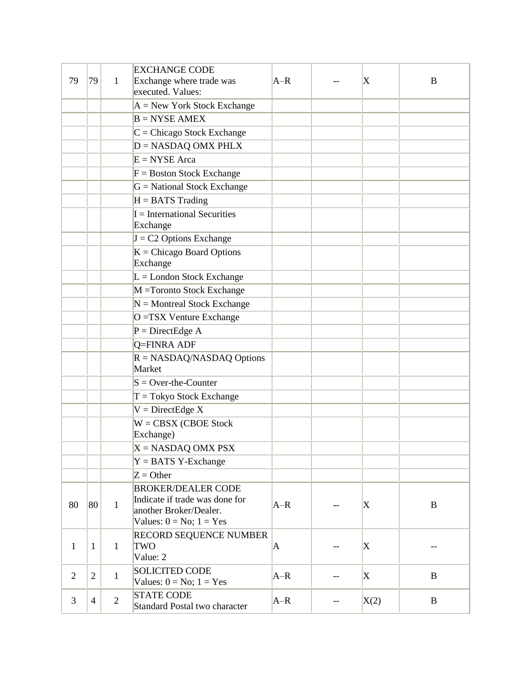| 79             | 79             | 1              | <b>EXCHANGE CODE</b><br>Exchange where trade was<br>executed. Values:                                                 | $A-R$        |    | X            | B            |
|----------------|----------------|----------------|-----------------------------------------------------------------------------------------------------------------------|--------------|----|--------------|--------------|
|                |                |                | $A = New York Stock Exchange$                                                                                         |              |    |              |              |
|                |                |                | $B = NYSE AMEX$                                                                                                       |              |    |              |              |
|                |                |                | $C =$ Chicago Stock Exchange                                                                                          |              |    |              |              |
|                |                |                | $D = NASDAQ$ OMX PHLX                                                                                                 |              |    |              |              |
|                |                |                | $E = NYSE Area$                                                                                                       |              |    |              |              |
|                |                |                | $F = Boston Stock Exchange$                                                                                           |              |    |              |              |
|                |                |                | $G = National Stock Exchange$                                                                                         |              |    |              |              |
|                |                |                | $H = BATS$ Trading                                                                                                    |              |    |              |              |
|                |                |                | $I = International Securities$<br>Exchange                                                                            |              |    |              |              |
|                |                |                | $J = C2$ Options Exchange                                                                                             |              |    |              |              |
|                |                |                | $K =$ Chicago Board Options<br>Exchange                                                                               |              |    |              |              |
|                |                |                | $L =$ London Stock Exchange                                                                                           |              |    |              |              |
|                |                |                | M = Toronto Stock Exchange                                                                                            |              |    |              |              |
|                |                |                | $N =$ Montreal Stock Exchange                                                                                         |              |    |              |              |
|                |                |                | O = TSX Venture Exchange                                                                                              |              |    |              |              |
|                |                |                | $P = DirectEdge A$                                                                                                    |              |    |              |              |
|                |                |                | Q=FINRA ADF                                                                                                           |              |    |              |              |
|                |                |                | $R = NASDAQ/NASDAQ$ Options<br>Market                                                                                 |              |    |              |              |
|                |                |                | $S = Over-the-Counter$                                                                                                |              |    |              |              |
|                |                |                | $T = Tokyo Stock Exchange$                                                                                            |              |    |              |              |
|                |                |                | $V = DirectEdge X$                                                                                                    |              |    |              |              |
|                |                |                | $W = CBSX (CBOE Stock)$<br>Exchange)                                                                                  |              |    |              |              |
|                |                |                | $X = NASDAQ$ OMX PSX                                                                                                  |              |    |              |              |
|                |                |                | $Y = BATS$ Y-Exchange                                                                                                 |              |    |              |              |
|                |                |                | $Z =$ Other                                                                                                           |              |    |              |              |
| 80             | 80             | $\mathbf{1}$   | <b>BROKER/DEALER CODE</b><br>Indicate if trade was done for<br>another Broker/Dealer.<br>Values: $0 = No$ ; $1 = Yes$ | $A-R$        |    | X            | B            |
| $\mathbf{1}$   | $\mathbf{1}$   | $\mathbf{1}$   | RECORD SEQUENCE NUMBER<br><b>TWO</b><br>Value: 2                                                                      | $\mathbf{A}$ | -- | $\mathbf{X}$ |              |
| $\overline{2}$ | $\overline{2}$ | $\mathbf{1}$   | <b>SOLICITED CODE</b><br>Values: $0 = No$ ; $1 = Yes$                                                                 | $A-R$        | -- | X            | $\mathbf{B}$ |
| 3              | $\overline{4}$ | $\overline{2}$ | <b>STATE CODE</b><br>Standard Postal two character                                                                    | $A-R$        |    | X(2)         | $\mathbf{B}$ |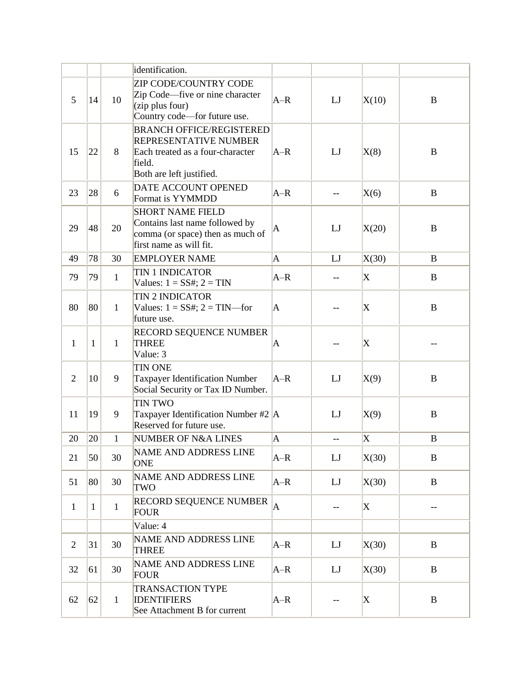|                |              |              | identification.                                                                                                                    |                |                          |                         |          |
|----------------|--------------|--------------|------------------------------------------------------------------------------------------------------------------------------------|----------------|--------------------------|-------------------------|----------|
| 5              | 14           | 10           | <b>ZIP CODE/COUNTRY CODE</b><br>Zip Code—five or nine character<br>$(zip$ plus four)<br>Country code—for future use.               | $A-R$          | LJ                       | X(10)                   | B        |
| 15             | 22           | 8            | <b>BRANCH OFFICE/REGISTERED</b><br>REPRESENTATIVE NUMBER<br>Each treated as a four-character<br>field.<br>Both are left justified. | $A-R$          | LJ                       | X(8)                    | B        |
| 23             | 28           | 6            | DATE ACCOUNT OPENED<br>Format is YYMMDD                                                                                            | $A-R$          |                          | X(6)                    | $\bf{B}$ |
| 29             | 48           | 20           | <b>SHORT NAME FIELD</b><br>Contains last name followed by<br>comma (or space) then as much of<br>first name as will fit.           | A              | LJ                       | X(20)                   | $\bf{B}$ |
| 49             | 78           | 30           | <b>EMPLOYER NAME</b>                                                                                                               | $\overline{A}$ | LJ                       | X(30)                   | $\bf{B}$ |
| 79             | 79           | $\mathbf{1}$ | <b>TIN 1 INDICATOR</b><br>Values: $1 = SS#$ ; $2 = TIN$                                                                            | $A-R$          | --                       | X                       | $\bf{B}$ |
| 80             | 80           | $\mathbf{1}$ | <b>TIN 2 INDICATOR</b><br>Values: $1 = SS#$ ; $2 = TIN$ —for<br>future use.                                                        | A              |                          | X                       | $\bf{B}$ |
| $\mathbf{1}$   | $\mathbf{1}$ | $\mathbf{1}$ | <b>RECORD SEQUENCE NUMBER</b><br><b>THREE</b><br>Value: 3                                                                          | A              |                          | X                       |          |
| $\overline{2}$ | 10           | 9            | <b>TIN ONE</b><br><b>Taxpayer Identification Number</b><br>Social Security or Tax ID Number.                                       | $A-R$          | LJ                       | X(9)                    | $\bf{B}$ |
| 11             | 19           | 9            | <b>TIN TWO</b><br>Taxpayer Identification Number #2 $\vert$ A<br>Reserved for future use.                                          |                | LJ                       | X(9)                    | $\bf{B}$ |
| 20             | 20           | $\mathbf{1}$ | <b>NUMBER OF N&amp;A LINES</b>                                                                                                     | $\mathbf A$    | $\overline{\phantom{m}}$ | $\overline{\mathrm{X}}$ | B        |
| 21             | 50           | 30           | NAME AND ADDRESS LINE<br><b>ONE</b>                                                                                                | $A-R$          | LJ                       | X(30)                   | B        |
| 51             | 80           | 30           | <b>NAME AND ADDRESS LINE</b><br>TWO                                                                                                | $A-R$          | LJ                       | X(30)                   | $\bf{B}$ |
| $\mathbf{1}$   | $\mathbf{1}$ | $\mathbf{1}$ | RECORD SEQUENCE NUMBER<br><b>FOUR</b>                                                                                              | $\overline{A}$ | --                       | X                       | $-\,-$   |
|                |              |              | Value: 4                                                                                                                           |                |                          |                         |          |
| $\overline{2}$ | 31           | 30           | NAME AND ADDRESS LINE<br><b>THREE</b>                                                                                              | $A-R$          | LJ                       | X(30)                   | $\bf{B}$ |
| 32             | 61           | 30           | NAME AND ADDRESS LINE<br><b>FOUR</b>                                                                                               | $A-R$          | LJ                       | X(30)                   | $\bf{B}$ |
| 62             | 62           | $\mathbf{1}$ | <b>TRANSACTION TYPE</b><br><b>IDENTIFIERS</b><br>See Attachment B for current                                                      | $A-R$          | $-$                      | X                       | $\bf{B}$ |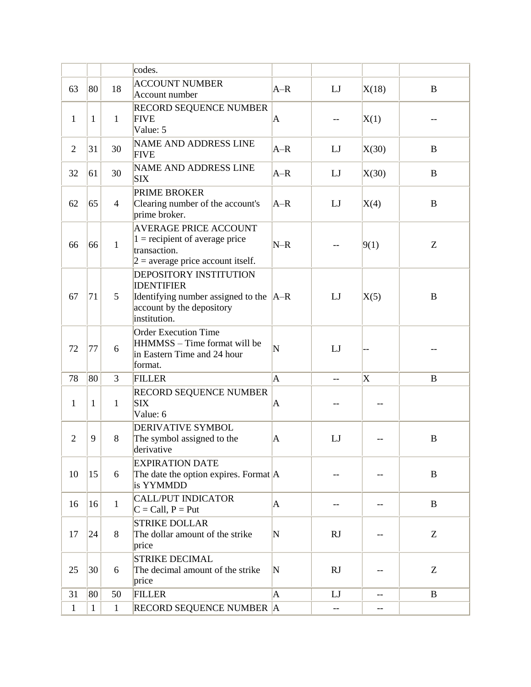|                |              |                | codes.                                                                                                                                        |                       |           |                         |              |
|----------------|--------------|----------------|-----------------------------------------------------------------------------------------------------------------------------------------------|-----------------------|-----------|-------------------------|--------------|
|                |              |                |                                                                                                                                               |                       |           |                         |              |
| 63             | 80           | 18             | <b>ACCOUNT NUMBER</b>                                                                                                                         | $A-R$                 | LJ        | X(18)                   | B            |
|                |              |                | Account number                                                                                                                                |                       |           |                         |              |
| $\mathbf{1}$   | $\mathbf{1}$ | $\mathbf{1}$   | <b>RECORD SEQUENCE NUMBER</b><br><b>FIVE</b><br>Value: 5                                                                                      | $\mathbf{A}$          |           | X(1)                    |              |
| $\overline{2}$ | 31           | 30             | <b>NAME AND ADDRESS LINE</b><br><b>FIVE</b>                                                                                                   | $A-R$                 | LJ        | X(30)                   | $\bf{B}$     |
| 32             | 61           | 30             | <b>NAME AND ADDRESS LINE</b><br><b>SIX</b>                                                                                                    | $A-R$                 | LJ        | X(30)                   | $\bf{B}$     |
| 62             | 65           | $\overline{4}$ | <b>PRIME BROKER</b><br>Clearing number of the account's<br>prime broker.                                                                      | $A-R$                 | LJ        | X(4)                    | $\, {\bf B}$ |
| 66             | 66           | $\mathbf{1}$   | <b>AVERAGE PRICE ACCOUNT</b><br>$1 =$ recipient of average price<br>transaction.<br>$2$ = average price account itself.                       | $N-R$                 |           | 9(1)                    | Z            |
| 67             | 71           | 5              | <b>DEPOSITORY INSTITUTION</b><br><b>IDENTIFIER</b><br>Identifying number assigned to the $ A-R $<br>account by the depository<br>institution. |                       | LJ        | X(5)                    | B            |
| 72             | 77           | 6              | <b>Order Execution Time</b><br>HHMMSS - Time format will be<br>in Eastern Time and 24 hour<br>format.                                         | $\overline{\text{N}}$ | LJ        |                         |              |
| 78             | 80           | 3              | <b>FILLER</b>                                                                                                                                 | $\mathbf A$           | $-$       | $\overline{\mathrm{X}}$ | B            |
| 1              | $\mathbf{1}$ | $\mathbf{1}$   | <b>RECORD SEQUENCE NUMBER</b><br><b>SIX</b><br>Value: 6                                                                                       | $\mathbf{A}$          |           |                         |              |
| $\overline{2}$ | 9            | 8              | <b>DERIVATIVE SYMBOL</b><br>The symbol assigned to the<br>derivative                                                                          | $\mathbf{A}$          | LJ        |                         | B            |
| 10             | 15           | 6              | <b>EXPIRATION DATE</b><br>The date the option expires. Format $ A $<br>is YYMMDD                                                              |                       |           |                         | $\, {\bf B}$ |
| 16             | 16           | $\mathbf{1}$   | <b>CALL/PUT INDICATOR</b><br>$C = Call, P = Put$                                                                                              | $\mathbf{A}$          |           |                         | $\, {\bf B}$ |
| 17             | 24           | 8              | <b>STRIKE DOLLAR</b><br>The dollar amount of the strike<br>price                                                                              | N                     | <b>RJ</b> |                         | Z            |
| 25             | 30           | 6              | <b>STRIKE DECIMAL</b><br>The decimal amount of the strike<br>price                                                                            | N                     | <b>RJ</b> |                         | Z            |
| 31             | 80           | 50             | <b>FILLER</b>                                                                                                                                 | $\mathbf{A}$          | LJ        | $-$                     | B            |
| $\mathbf{1}$   | $\mathbf{1}$ | $\mathbf{1}$   | RECORD SEQUENCE NUMBER A                                                                                                                      |                       | --        | --                      |              |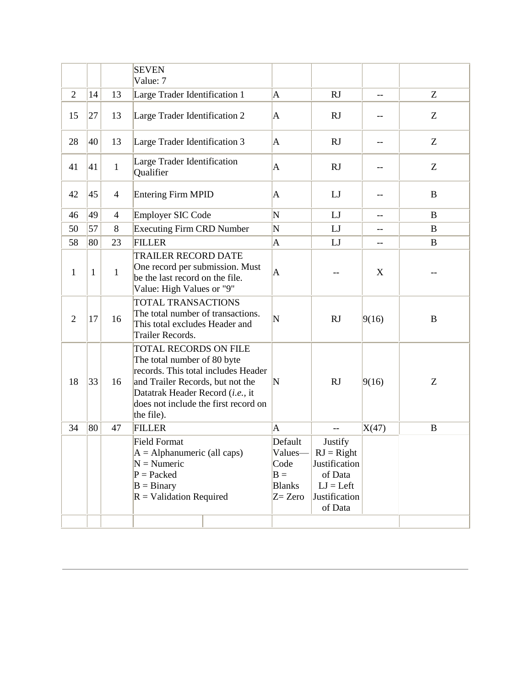|                |    |                | <b>SEVEN</b><br>Value: 7                                                                                                                                                                                                  |                                                         |                                                                                                           |                          |                  |
|----------------|----|----------------|---------------------------------------------------------------------------------------------------------------------------------------------------------------------------------------------------------------------------|---------------------------------------------------------|-----------------------------------------------------------------------------------------------------------|--------------------------|------------------|
| $\overline{2}$ | 14 | 13             | Large Trader Identification 1                                                                                                                                                                                             | $\mathbf A$                                             | <b>RJ</b>                                                                                                 | $\overline{\phantom{m}}$ | Z                |
| 15             | 27 | 13             | Large Trader Identification 2                                                                                                                                                                                             | A                                                       | <b>RJ</b>                                                                                                 |                          | Z                |
| 28             | 40 | 13             | Large Trader Identification 3                                                                                                                                                                                             | $\mathbf A$                                             | <b>RJ</b>                                                                                                 | $-$                      | Z                |
| 41             | 41 | $\mathbf{1}$   | Large Trader Identification<br>Qualifier                                                                                                                                                                                  | A                                                       | <b>RJ</b>                                                                                                 |                          | Z                |
| 42             | 45 | $\overline{4}$ | <b>Entering Firm MPID</b>                                                                                                                                                                                                 | A                                                       | LJ                                                                                                        |                          | $\bf{B}$         |
| 46             | 49 | $\overline{4}$ | <b>Employer SIC Code</b>                                                                                                                                                                                                  | N                                                       | LJ                                                                                                        | --                       | $\bf{B}$         |
| 50             | 57 | 8              | <b>Executing Firm CRD Number</b>                                                                                                                                                                                          | N                                                       | LJ                                                                                                        | $-$                      | B                |
| 58             | 80 | 23             | <b>FILLER</b>                                                                                                                                                                                                             | $\overline{\mathbf{A}}$                                 | LJ                                                                                                        | --                       | $\bf{B}$         |
| 1              | 1  | $\mathbf{1}$   | <b>TRAILER RECORD DATE</b><br>One record per submission. Must<br>be the last record on the file.<br>Value: High Values or "9"                                                                                             | A                                                       |                                                                                                           | X                        |                  |
| $\overline{2}$ | 17 | 16             | TOTAL TRANSACTIONS<br>The total number of transactions.<br>This total excludes Header and<br>Trailer Records.                                                                                                             | N                                                       | <b>RJ</b>                                                                                                 | 9(16)                    | $\boldsymbol{B}$ |
| 18             | 33 | 16             | TOTAL RECORDS ON FILE<br>The total number of 80 byte<br>records. This total includes Header<br>and Trailer Records, but not the<br>Datatrak Header Record (i.e., it<br>does not include the first record on<br>the file). | $\mathbf N$                                             | <b>RJ</b>                                                                                                 | 9(16)                    | Z                |
| 34             | 80 | 47             | <b>FILLER</b>                                                                                                                                                                                                             | $\overline{\mathbf{A}}$                                 | $\overline{a}$                                                                                            | X(47)                    | $\bf{B}$         |
|                |    |                | <b>Field Format</b><br>$A =$ Alphanumeric (all caps)<br>$N =$ Numeric<br>$P =$ Packed<br>$B = Binary$<br>$R =$ Validation Required                                                                                        | Default<br>Code<br>$B =$<br><b>Blanks</b><br>$Z = Zero$ | Justify<br>Values— $\ $ RJ = Right<br>Justification<br>of Data<br>$LJ = Left$<br>Justification<br>of Data |                          |                  |
|                |    |                |                                                                                                                                                                                                                           |                                                         |                                                                                                           |                          |                  |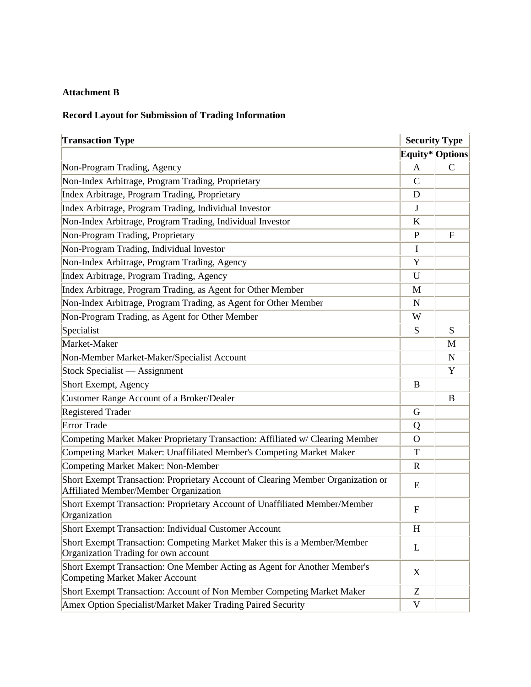# **Attachment B**

# **Record Layout for Submission of Trading Information**

| <b>Transaction Type</b>                                                                                                   |                | <b>Security Type</b> |
|---------------------------------------------------------------------------------------------------------------------------|----------------|----------------------|
|                                                                                                                           |                | Equity* Options      |
| Non-Program Trading, Agency                                                                                               | $\mathbf{A}$   | $\mathsf{C}$         |
| Non-Index Arbitrage, Program Trading, Proprietary                                                                         | $\mathsf{C}$   |                      |
| Index Arbitrage, Program Trading, Proprietary                                                                             | D              |                      |
| Index Arbitrage, Program Trading, Individual Investor                                                                     | J              |                      |
| Non-Index Arbitrage, Program Trading, Individual Investor                                                                 | $\bf K$        |                      |
| Non-Program Trading, Proprietary                                                                                          | $\mathbf{P}$   | $\mathbf{F}$         |
| Non-Program Trading, Individual Investor                                                                                  | I              |                      |
| Non-Index Arbitrage, Program Trading, Agency                                                                              | Y              |                      |
| Index Arbitrage, Program Trading, Agency                                                                                  | U              |                      |
| Index Arbitrage, Program Trading, as Agent for Other Member                                                               | M              |                      |
| Non-Index Arbitrage, Program Trading, as Agent for Other Member                                                           | N              |                      |
| Non-Program Trading, as Agent for Other Member                                                                            | W              |                      |
| Specialist                                                                                                                | S              | S                    |
| Market-Maker                                                                                                              |                | M                    |
| Non-Member Market-Maker/Specialist Account                                                                                |                | $\mathbf N$          |
| Stock Specialist — Assignment                                                                                             |                | Y                    |
| Short Exempt, Agency                                                                                                      | B              |                      |
| Customer Range Account of a Broker/Dealer                                                                                 |                | B                    |
| <b>Registered Trader</b>                                                                                                  | G              |                      |
| <b>Error Trade</b>                                                                                                        | Q              |                      |
| Competing Market Maker Proprietary Transaction: Affiliated w/ Clearing Member                                             | $\overline{O}$ |                      |
| Competing Market Maker: Unaffiliated Member's Competing Market Maker                                                      | T              |                      |
| Competing Market Maker: Non-Member                                                                                        | $\mathbf R$    |                      |
| Short Exempt Transaction: Proprietary Account of Clearing Member Organization or<br>Affiliated Member/Member Organization | E              |                      |
| Short Exempt Transaction: Proprietary Account of Unaffiliated Member/Member<br>Organization                               | $\mathbf{F}$   |                      |
| <b>Short Exempt Transaction: Individual Customer Account</b>                                                              | H              |                      |
| Short Exempt Transaction: Competing Market Maker this is a Member/Member<br>Organization Trading for own account          | L              |                      |
| Short Exempt Transaction: One Member Acting as Agent for Another Member's<br><b>Competing Market Maker Account</b>        | X              |                      |
| Short Exempt Transaction: Account of Non Member Competing Market Maker                                                    | Z              |                      |
| Amex Option Specialist/Market Maker Trading Paired Security                                                               | $\mathbf V$    |                      |